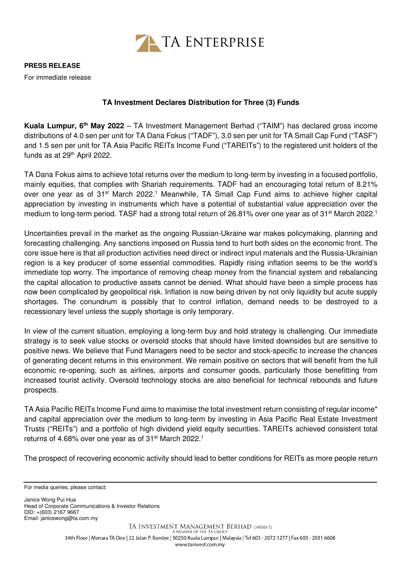

**PRESS RELEASE** For immediate release

## **TA Investment Declares Distribution for Three (3) Funds**

**Kuala Lumpur, 6th May 2022** – TA Investment Management Berhad ("TAIM") has declared gross income distributions of 4.0 sen per unit for TA Dana Fokus ("TADF"), 3.0 sen per unit for TA Small Cap Fund ("TASF") and 1.5 sen per unit for TA Asia Pacific REITs Income Fund ("TAREITs") to the registered unit holders of the funds as at 29<sup>th</sup> April 2022.

TA Dana Fokus aims to achieve total returns over the medium to long-term by investing in a focused portfolio, mainly equities, that complies with Shariah requirements. TADF had an encouraging total return of 8.21% over one year as of 31<sup>st</sup> March 2022.<sup>1</sup> Meanwhile, TA Small Cap Fund aims to achieve higher capital appreciation by investing in instruments which have a potential of substantial value appreciation over the medium to long-term period. TASF had a strong total return of 26.81% over one year as of 31<sup>st</sup> March 2022.<sup>1</sup>

Uncertainties prevail in the market as the ongoing Russian-Ukraine war makes policymaking, planning and forecasting challenging. Any sanctions imposed on Russia tend to hurt both sides on the economic front. The core issue here is that all production activities need direct or indirect input materials and the Russia-Ukrainian region is a key producer of some essential commodities. Rapidly rising inflation seems to be the world's immediate top worry. The importance of removing cheap money from the financial system and rebalancing the capital allocation to productive assets cannot be denied. What should have been a simple process has now been complicated by geopolitical risk. Inflation is now being driven by not only liquidity but acute supply shortages. The conundrum is possibly that to control inflation, demand needs to be destroyed to a recessionary level unless the supply shortage is only temporary.

In view of the current situation, employing a long-term buy and hold strategy is challenging. Our immediate strategy is to seek value stocks or oversold stocks that should have limited downsides but are sensitive to positive news. We believe that Fund Managers need to be sector and stock-specific to increase the chances of generating decent returns in this environment. We remain positive on sectors that will benefit from the full economic re-opening, such as airlines, airports and consumer goods, particularly those benefitting from increased tourist activity. Oversold technology stocks are also beneficial for technical rebounds and future prospects.

TA Asia Pacific REITs Income Fund aims to maximise the total investment return consisting of regular income\* and capital appreciation over the medium to long-term by investing in Asia Pacific Real Estate Investment Trusts ("REITs") and a portfolio of high dividend yield equity securities. TAREITs achieved consistent total returns of 4.68% over one year as of 31<sup>st</sup> March 2022.<sup>1</sup>

The prospect of recovering economic activity should lead to better conditions for REITs as more people return

Janice Wong Pui Hua Head of Corporate Communications & Investor Relations DID: +(603) 2167 9667 Email: janicewong@ta.com.my

For media queries, please contact: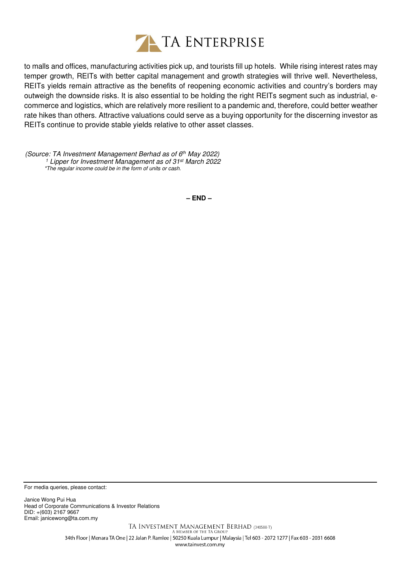

to malls and offices, manufacturing activities pick up, and tourists fill up hotels. While rising interest rates may temper growth, REITs with better capital management and growth strategies will thrive well. Nevertheless, REITs yields remain attractive as the benefits of reopening economic activities and country's borders may outweigh the downside risks. It is also essential to be holding the right REITs segment such as industrial, ecommerce and logistics, which are relatively more resilient to a pandemic and, therefore, could better weather rate hikes than others. Attractive valuations could serve as a buying opportunity for the discerning investor as REITs continue to provide stable yields relative to other asset classes.

(Source: TA Investment Management Berhad as of 6th May 2022) <sup>1</sup> Lipper for Investment Management as of 31st March 2022 \*The regular income could be in the form of units or cash.

**– END –**

For media queries, please contact:

Janice Wong Pui Hua Head of Corporate Communications & Investor Relations DID: +(603) 2167 9667 Email: janicewong@ta.com.my